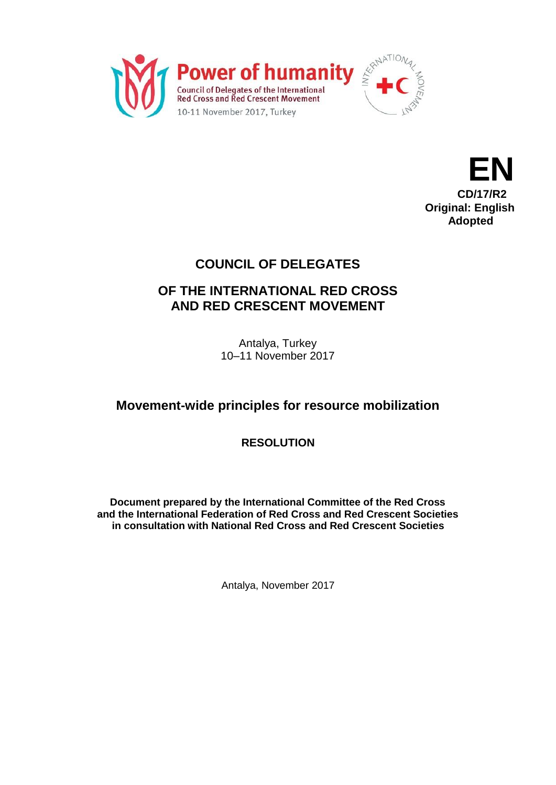



# **COUNCIL OF DELEGATES**

# **OF THE INTERNATIONAL RED CROSS AND RED CRESCENT MOVEMENT**

Antalya, Turkey 10–11 November 2017

# **Movement-wide principles for resource mobilization**

**RESOLUTION**

**Document prepared by the International Committee of the Red Cross and the International Federation of Red Cross and Red Crescent Societies in consultation with National Red Cross and Red Crescent Societies**

Antalya, November 2017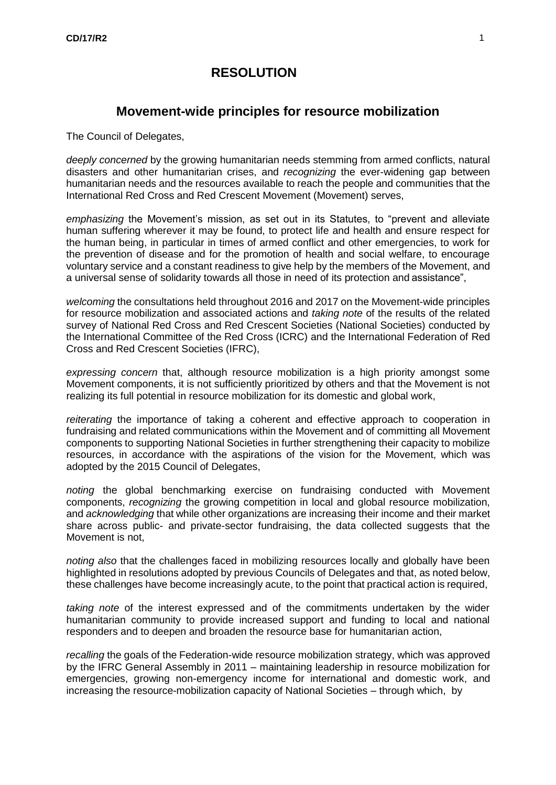## **RESOLUTION**

## **Movement-wide principles for resource mobilization**

The Council of Delegates,

*deeply concerned* by the growing humanitarian needs stemming from armed conflicts, natural disasters and other humanitarian crises, and *recognizing* the ever-widening gap between humanitarian needs and the resources available to reach the people and communities that the International Red Cross and Red Crescent Movement (Movement) serves,

*emphasizing* the Movement's mission, as set out in its Statutes, to "prevent and alleviate human suffering wherever it may be found, to protect life and health and ensure respect for the human being, in particular in times of armed conflict and other emergencies, to work for the prevention of disease and for the promotion of health and social welfare, to encourage voluntary service and a constant readiness to give help by the members of the Movement, and a universal sense of solidarity towards all those in need of its protection and assistance",

*welcoming* the consultations held throughout 2016 and 2017 on the Movement-wide principles for resource mobilization and associated actions and *taking note* of the results of the related survey of National Red Cross and Red Crescent Societies (National Societies) conducted by the International Committee of the Red Cross (ICRC) and the International Federation of Red Cross and Red Crescent Societies (IFRC),

*expressing concern* that, although resource mobilization is a high priority amongst some Movement components, it is not sufficiently prioritized by others and that the Movement is not realizing its full potential in resource mobilization for its domestic and global work,

*reiterating* the importance of taking a coherent and effective approach to cooperation in fundraising and related communications within the Movement and of committing all Movement components to supporting National Societies in further strengthening their capacity to mobilize resources, in accordance with the aspirations of the vision for the Movement, which was adopted by the 2015 Council of Delegates,

*noting* the global benchmarking exercise on fundraising conducted with Movement components, *recognizing* the growing competition in local and global resource mobilization, and *acknowledging* that while other organizations are increasing their income and their market share across public- and private-sector fundraising, the data collected suggests that the Movement is not,

*noting also* that the challenges faced in mobilizing resources locally and globally have been highlighted in resolutions adopted by previous Councils of Delegates and that, as noted below, these challenges have become increasingly acute, to the point that practical action is required,

*taking note* of the interest expressed and of the commitments undertaken by the wider humanitarian community to provide increased support and funding to local and national responders and to deepen and broaden the resource base for humanitarian action,

*recalling* the goals of the Federation-wide resource mobilization strategy, which was approved by the IFRC General Assembly in 2011 – maintaining leadership in resource mobilization for emergencies, growing non-emergency income for international and domestic work, and increasing the resource-mobilization capacity of National Societies – through which, by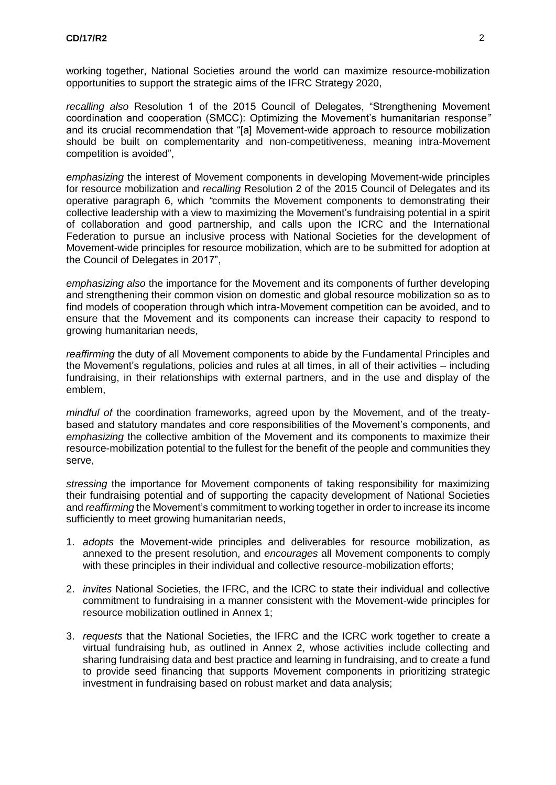working together, National Societies around the world can maximize resource-mobilization opportunities to support the strategic aims of the IFRC Strategy 2020,

*recalling also* Resolution 1 of the 2015 Council of Delegates, "Strengthening Movement coordination and cooperation (SMCC): Optimizing the Movement's humanitarian response*"*  and its crucial recommendation that "[a] Movement-wide approach to resource mobilization should be built on complementarity and non-competitiveness, meaning intra-Movement competition is avoided",

*emphasizing* the interest of Movement components in developing Movement-wide principles for resource mobilization and *recalling* Resolution 2 of the 2015 Council of Delegates and its operative paragraph 6, which *"*commits the Movement components to demonstrating their collective leadership with a view to maximizing the Movement's fundraising potential in a spirit of collaboration and good partnership, and calls upon the ICRC and the International Federation to pursue an inclusive process with National Societies for the development of Movement-wide principles for resource mobilization, which are to be submitted for adoption at the Council of Delegates in 2017",

*emphasizing also* the importance for the Movement and its components of further developing and strengthening their common vision on domestic and global resource mobilization so as to find models of cooperation through which intra-Movement competition can be avoided, and to ensure that the Movement and its components can increase their capacity to respond to growing humanitarian needs,

*reaffirming* the duty of all Movement components to abide by the Fundamental Principles and the Movement's regulations, policies and rules at all times, in all of their activities – including fundraising, in their relationships with external partners, and in the use and display of the emblem,

*mindful of* the coordination frameworks, agreed upon by the Movement, and of the treatybased and statutory mandates and core responsibilities of the Movement's components, and *emphasizing* the collective ambition of the Movement and its components to maximize their resource-mobilization potential to the fullest for the benefit of the people and communities they serve,

*stressing* the importance for Movement components of taking responsibility for maximizing their fundraising potential and of supporting the capacity development of National Societies and *reaffirming* the Movement's commitment to working together in order to increase its income sufficiently to meet growing humanitarian needs,

- 1. *adopts* the Movement-wide principles and deliverables for resource mobilization, as annexed to the present resolution, and *encourages* all Movement components to comply with these principles in their individual and collective resource-mobilization efforts;
- 2. *invites* National Societies, the IFRC, and the ICRC to state their individual and collective commitment to fundraising in a manner consistent with the Movement-wide principles for resource mobilization outlined in Annex 1;
- 3. *requests* that the National Societies, the IFRC and the ICRC work together to create a virtual fundraising hub, as outlined in Annex 2, whose activities include collecting and sharing fundraising data and best practice and learning in fundraising, and to create a fund to provide seed financing that supports Movement components in prioritizing strategic investment in fundraising based on robust market and data analysis;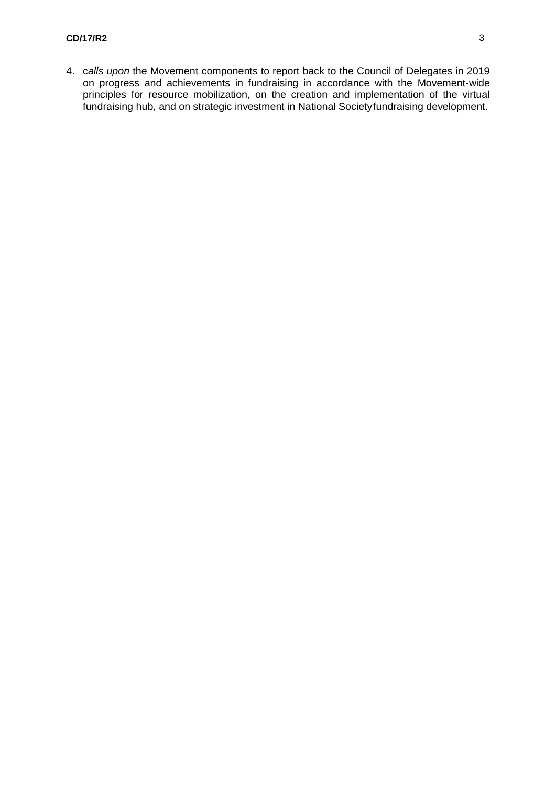4. c*alls upon* the Movement components to report back to the Council of Delegates in 2019 on progress and achievements in fundraising in accordance with the Movement-wide principles for resource mobilization, on the creation and implementation of the virtual fundraising hub, and on strategic investment in National Societyfundraising development.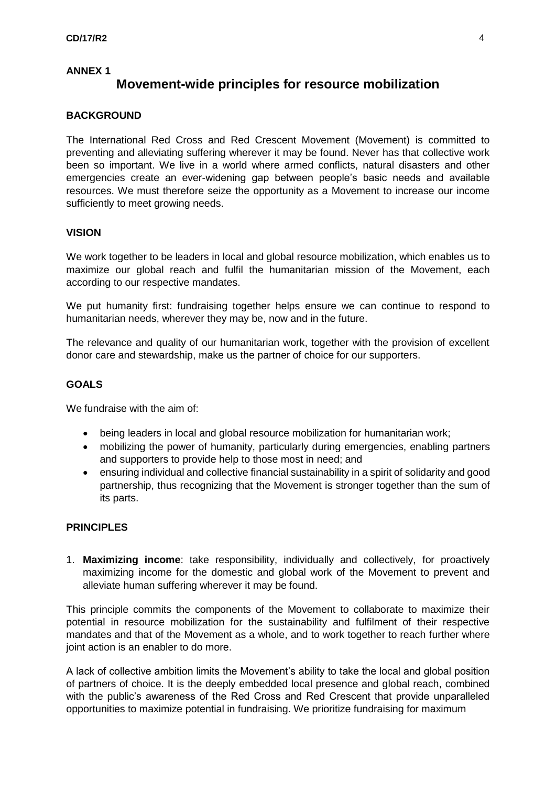#### **ANNEX 1**

## **Movement-wide principles for resource mobilization**

#### <span id="page-4-0"></span>**BACKGROUND**

The International Red Cross and Red Crescent Movement (Movement) is committed to preventing and alleviating suffering wherever it may be found. Never has that collective work been so important. We live in a world where armed conflicts, natural disasters and other emergencies create an ever-widening gap between people's basic needs and available resources. We must therefore seize the opportunity as a Movement to increase our income sufficiently to meet growing needs.

#### **VISION**

We work together to be leaders in local and global resource mobilization, which enables us to maximize our global reach and fulfil the humanitarian mission of the Movement, each according to our respective mandates.

We put humanity first: fundraising together helps ensure we can continue to respond to humanitarian needs, wherever they may be, now and in the future.

The relevance and quality of our humanitarian work, together with the provision of excellent donor care and stewardship, make us the partner of choice for our supporters.

#### **GOALS**

We fundraise with the aim of:

- being leaders in local and global resource mobilization for humanitarian work;
- mobilizing the power of humanity, particularly during emergencies, enabling partners and supporters to provide help to those most in need; and
- ensuring individual and collective financial sustainability in a spirit of solidarity and good partnership, thus recognizing that the Movement is stronger together than the sum of its parts.

#### **PRINCIPLES**

1. **Maximizing income**: take responsibility, individually and collectively, for proactively maximizing income for the domestic and global work of the Movement to prevent and alleviate human suffering wherever it may be found.

This principle commits the components of the Movement to collaborate to maximize their potential in resource mobilization for the sustainability and fulfilment of their respective mandates and that of the Movement as a whole, and to work together to reach further where joint action is an enabler to do more.

A lack of collective ambition limits the Movement's ability to take the local and global position of partners of choice. It is the deeply embedded local presence and global reach, combined with the public's awareness of the Red Cross and Red Crescent that provide unparalleled opportunities to maximize potential in fundraising. We prioritize fundraising for maximum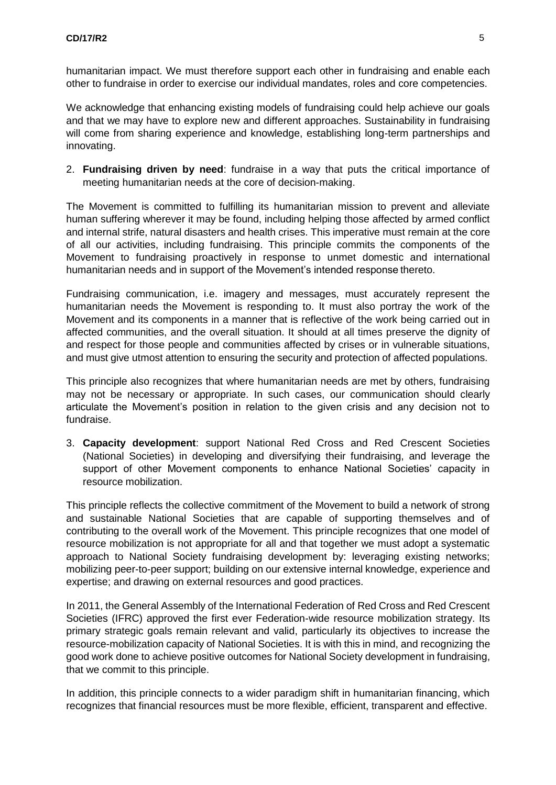humanitarian impact. We must therefore support each other in fundraising and enable each other to fundraise in order to exercise our individual mandates, roles and core competencies.

We acknowledge that enhancing existing models of fundraising could help achieve our goals and that we may have to explore new and different approaches. Sustainability in fundraising will come from sharing experience and knowledge, establishing long-term partnerships and innovating.

2. **Fundraising driven by need**: fundraise in a way that puts the critical importance of meeting humanitarian needs at the core of decision-making.

The Movement is committed to fulfilling its humanitarian mission to prevent and alleviate human suffering wherever it may be found, including helping those affected by armed conflict and internal strife, natural disasters and health crises. This imperative must remain at the core of all our activities, including fundraising. This principle commits the components of the Movement to fundraising proactively in response to unmet domestic and international humanitarian needs and in support of the Movement's intended response thereto.

Fundraising communication, i.e. imagery and messages, must accurately represent the humanitarian needs the Movement is responding to. It must also portray the work of the Movement and its components in a manner that is reflective of the work being carried out in affected communities, and the overall situation. It should at all times preserve the dignity of and respect for those people and communities affected by crises or in vulnerable situations, and must give utmost attention to ensuring the security and protection of affected populations.

This principle also recognizes that where humanitarian needs are met by others, fundraising may not be necessary or appropriate. In such cases, our communication should clearly articulate the Movement's position in relation to the given crisis and any decision not to fundraise.

3. **Capacity development**: support National Red Cross and Red Crescent Societies (National Societies) in developing and diversifying their fundraising, and leverage the support of other Movement components to enhance National Societies' capacity in resource mobilization.

This principle reflects the collective commitment of the Movement to build a network of strong and sustainable National Societies that are capable of supporting themselves and of contributing to the overall work of the Movement. This principle recognizes that one model of resource mobilization is not appropriate for all and that together we must adopt a systematic approach to National Society fundraising development by: leveraging existing networks; mobilizing peer-to-peer support; building on our extensive internal knowledge, experience and expertise; and drawing on external resources and good practices.

In 2011, the General Assembly of the International Federation of Red Cross and Red Crescent Societies (IFRC) approved the first ever Federation-wide resource mobilization strategy. Its primary strategic goals remain relevant and valid, particularly its objectives to increase the resource-mobilization capacity of National Societies. It is with this in mind, and recognizing the good work done to achieve positive outcomes for National Society development in fundraising, that we commit to this principle.

In addition, this principle connects to a wider paradigm shift in humanitarian financing, which recognizes that financial resources must be more flexible, efficient, transparent and effective.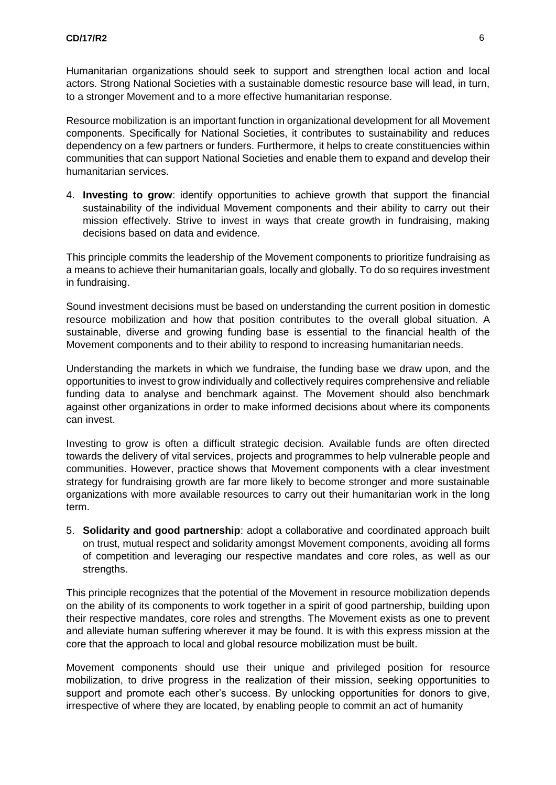Humanitarian organizations should seek to support and strengthen local action and local actors. Strong National Societies with a sustainable domestic resource base will lead, in turn, to a stronger Movement and to a more effective humanitarian response.

Resource mobilization is an important function in organizational development for all Movement components. Specifically for National Societies, it contributes to sustainability and reduces dependency on a few partners or funders. Furthermore, it helps to create constituencies within communities that can support National Societies and enable them to expand and develop their humanitarian services.

4. **Investing to grow**: identify opportunities to achieve growth that support the financial sustainability of the individual Movement components and their ability to carry out their mission effectively. Strive to invest in ways that create growth in fundraising, making decisions based on data and evidence.

This principle commits the leadership of the Movement components to prioritize fundraising as a means to achieve their humanitarian goals, locally and globally. To do so requires investment in fundraising.

Sound investment decisions must be based on understanding the current position in domestic resource mobilization and how that position contributes to the overall global situation. A sustainable, diverse and growing funding base is essential to the financial health of the Movement components and to their ability to respond to increasing humanitarian needs.

Understanding the markets in which we fundraise, the funding base we draw upon, and the opportunities to invest to grow individually and collectively requires comprehensive and reliable funding data to analyse and benchmark against. The Movement should also benchmark against other organizations in order to make informed decisions about where its components can invest.

Investing to grow is often a difficult strategic decision. Available funds are often directed towards the delivery of vital services, projects and programmes to help vulnerable people and communities. However, practice shows that Movement components with a clear investment strategy for fundraising growth are far more likely to become stronger and more sustainable organizations with more available resources to carry out their humanitarian work in the long term.

5. **Solidarity and good partnership**: adopt a collaborative and coordinated approach built on trust, mutual respect and solidarity amongst Movement components, avoiding all forms of competition and leveraging our respective mandates and core roles, as well as our strengths.

This principle recognizes that the potential of the Movement in resource mobilization depends on the ability of its components to work together in a spirit of good partnership, building upon their respective mandates, core roles and strengths. The Movement exists as one to prevent and alleviate human suffering wherever it may be found. It is with this express mission at the core that the approach to local and global resource mobilization must be built.

Movement components should use their unique and privileged position for resource mobilization, to drive progress in the realization of their mission, seeking opportunities to support and promote each other's success. By unlocking opportunities for donors to give, irrespective of where they are located, by enabling people to commit an act of humanity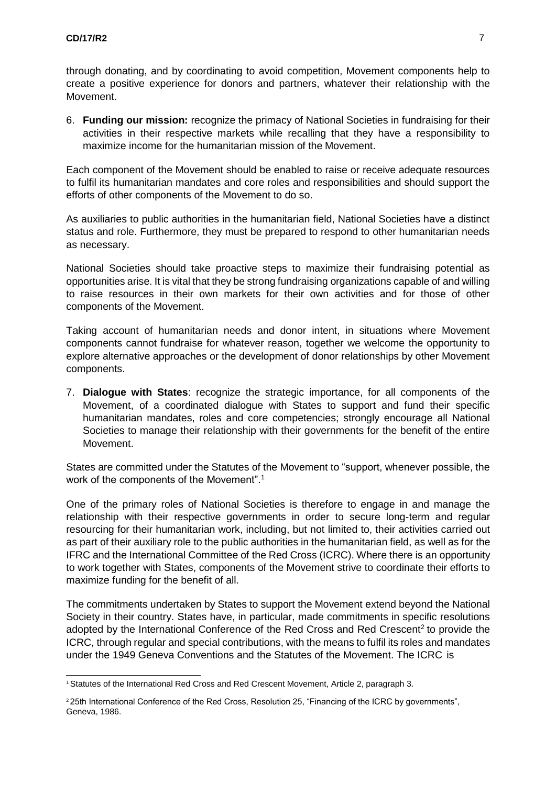through donating, and by coordinating to avoid competition, Movement components help to create a positive experience for donors and partners, whatever their relationship with the Movement.

6. **Funding our mission:** recognize the primacy of National Societies in fundraising for their activities in their respective markets while recalling that they have a responsibility to maximize income for the humanitarian mission of the Movement.

Each component of the Movement should be enabled to raise or receive adequate resources to fulfil its humanitarian mandates and core roles and responsibilities and should support the efforts of other components of the Movement to do so.

As auxiliaries to public authorities in the humanitarian field, National Societies have a distinct status and role. Furthermore, they must be prepared to respond to other humanitarian needs as necessary.

National Societies should take proactive steps to maximize their fundraising potential as opportunities arise. It is vital that they be strong fundraising organizations capable of and willing to raise resources in their own markets for their own activities and for those of other components of the Movement.

Taking account of humanitarian needs and donor intent, in situations where Movement components cannot fundraise for whatever reason, together we welcome the opportunity to explore alternative approaches or the development of donor relationships by other Movement components.

7. **Dialogue with States**: recognize the strategic importance, for all components of the Movement, of a coordinated dialogue with States to support and fund their specific humanitarian mandates, roles and core competencies; strongly encourage all National Societies to manage their relationship with their governments for the benefit of the entire Movement.

States are committed under the Statutes of the Movement to "support, whenever possible, the work of the components of the Movement"[.](#page-7-0)<sup>1</sup>

One of the primary roles of National Societies is therefore to engage in and manage the relationship with their respective governments in order to secure long-term and regular resourcing for their humanitarian work, including, but not limited to, their activities carried out as part of their auxiliary role to the public authorities in the humanitarian field, as well as for the IFRC and the International Committee of the Red Cross (ICRC). Where there is an opportunity to work together with States, components of the Movement strive to coordinate their efforts to maximize funding for the benefit of all.

The commitments undertaken by States to support the Movement extend beyond the National Society in their country. States have, in particular, made commitments in specific resolutions adopted by the International Conference of the Red Cross and Red Crescent<sup>2</sup> to provide the ICRC, through regular and special contributions, with the means to fulfil its roles and mandates under the 1949 Geneva Conventions and the Statutes of the Movement. The ICRC is

<span id="page-7-0"></span><sup>&</sup>lt;sup>1</sup> Statutes of the International Red Cross and Red Crescent Movement, Article 2, paragraph 3.

<span id="page-7-1"></span><sup>2</sup>25th International Conference of the Red Cross, Resolution 25, "Financing of the ICRC by governments", Geneva, 1986.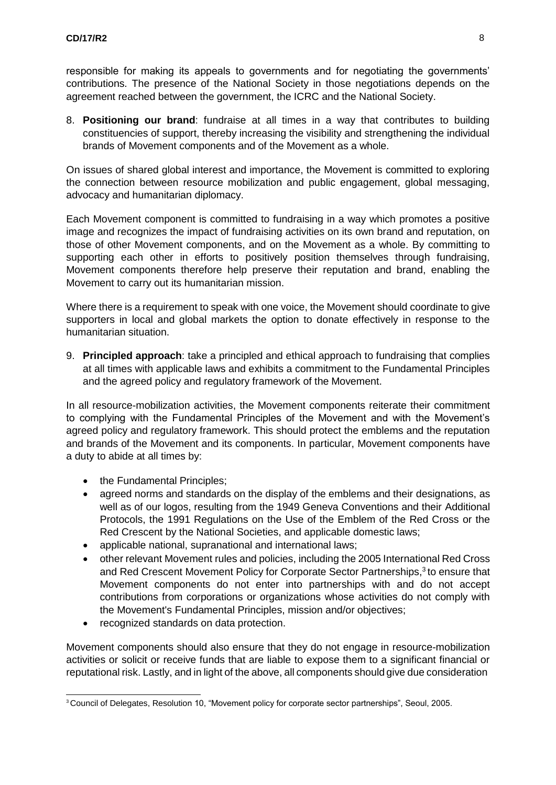responsible for making its appeals to governments and for negotiating the governments' contributions. The presence of the National Society in those negotiations depends on the agreement reached between the government, the ICRC and the National Society.

8. **Positioning our brand**: fundraise at all times in a way that contributes to building constituencies of support, thereby increasing the visibility and strengthening the individual brands of Movement components and of the Movement as a whole.

On issues of shared global interest and importance, the Movement is committed to exploring the connection between resource mobilization and public engagement, global messaging, advocacy and humanitarian diplomacy.

Each Movement component is committed to fundraising in a way which promotes a positive image and recognizes the impact of fundraising activities on its own brand and reputation, on those of other Movement components, and on the Movement as a whole. By committing to supporting each other in efforts to positively position themselves through fundraising, Movement components therefore help preserve their reputation and brand, enabling the Movement to carry out its humanitarian mission.

Where there is a requirement to speak with one voice, the Movement should coordinate to give supporters in local and global markets the option to donate effectively in response to the humanitarian situation.

9. **Principled approach**: take a principled and ethical approach to fundraising that complies at all times with applicable laws and exhibits a commitment to the Fundamental Principles and the agreed policy and regulatory framework of the Movement.

In all resource-mobilization activities, the Movement components reiterate their commitment to complying with the Fundamental Principles of the Movement and with the Movement's agreed policy and regulatory framework. This should protect the emblems and the reputation and brands of the Movement and its components. In particular, Movement components have a duty to abide at all times by:

- the Fundamental Principles;
- agreed norms and standards on the display of the emblems and their designations, as well as of our logos, resulting from the 1949 Geneva Conventions and their Additional Protocols, the 1991 Regulations on the Use of the Emblem of the Red Cross or the Red Crescent by the National Societies, and applicable domestic laws;
- applicable national, supranational and international laws;
- other relevant Movement rules and policies, including the 2005 International Red Cross and Red Crescent Movement Policy for Corporate Sector Partnerships,<sup>[3](#page-8-0)</sup> to ensure that Movement components do not enter into partnerships with and do not accept contributions from corporations or organizations whose activities do not comply with the Movement's Fundamental Principles, mission and/or objectives;
- recognized standards on data protection.

Movement components should also ensure that they do not engage in resource-mobilization activities or solicit or receive funds that are liable to expose them to a significant financial or reputational risk. Lastly, and in light of the above, all components should give due consideration

<span id="page-8-0"></span><sup>3</sup> Council of Delegates, Resolution 10, "Movement policy for corporate sector partnerships", Seoul, 2005.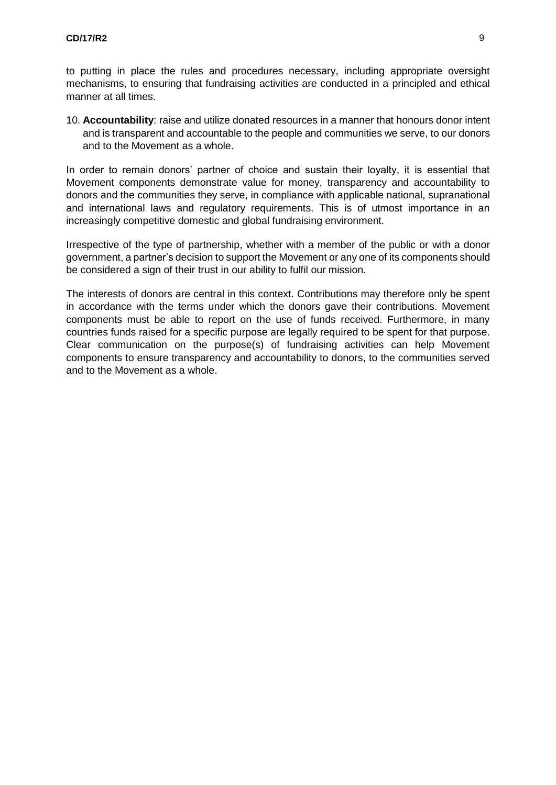to putting in place the rules and procedures necessary, including appropriate oversight mechanisms, to ensuring that fundraising activities are conducted in a principled and ethical manner at all times.

10. **Accountability**: raise and utilize donated resources in a manner that honours donor intent and is transparent and accountable to the people and communities we serve, to our donors and to the Movement as a whole.

In order to remain donors' partner of choice and sustain their loyalty, it is essential that Movement components demonstrate value for money, transparency and accountability to donors and the communities they serve, in compliance with applicable national, supranational and international laws and regulatory requirements. This is of utmost importance in an increasingly competitive domestic and global fundraising environment.

Irrespective of the type of partnership, whether with a member of the public or with a donor government, a partner's decision to support the Movement or any one of its components should be considered a sign of their trust in our ability to fulfil our mission.

The interests of donors are central in this context. Contributions may therefore only be spent in accordance with the terms under which the donors gave their contributions. Movement components must be able to report on the use of funds received. Furthermore, in many countries funds raised for a specific purpose are legally required to be spent for that purpose. Clear communication on the purpose(s) of fundraising activities can help Movement components to ensure transparency and accountability to donors, to the communities served and to the Movement as a whole.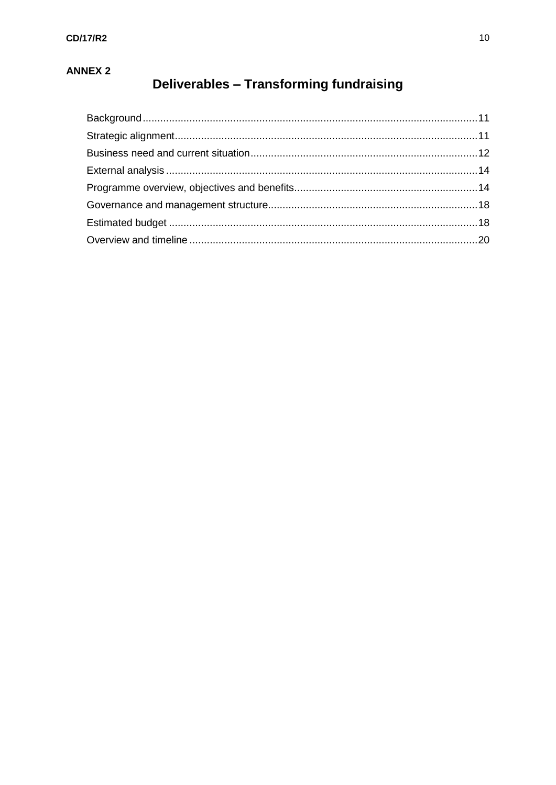# **ANNEX 2**

# Deliverables - Transforming fundraising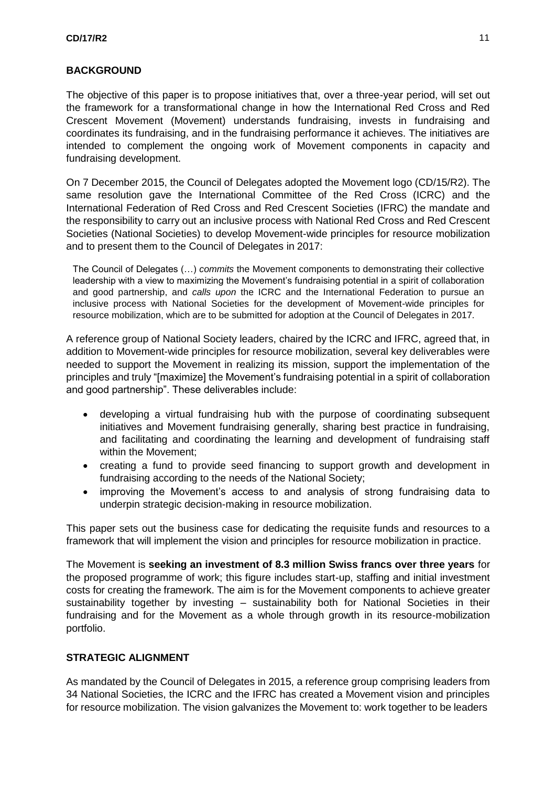#### **BACKGROUND**

The objective of this paper is to propose initiatives that, over a three-year period, will set out the framework for a transformational change in how the International Red Cross and Red Crescent Movement (Movement) understands fundraising, invests in fundraising and coordinates its fundraising, and in the fundraising performance it achieves. The initiatives are intended to complement the ongoing work of Movement components in capacity and fundraising development.

On 7 December 2015, the Council of Delegates adopted the Movement logo (CD/15/R2). The same resolution gave the International Committee of the Red Cross (ICRC) and the International Federation of Red Cross and Red Crescent Societies (IFRC) the mandate and the responsibility to carry out an inclusive process with National Red Cross and Red Crescent Societies (National Societies) to develop Movement-wide principles for resource mobilization and to present them to the Council of Delegates in 2017:

The Council of Delegates (…) *commits* the Movement components to demonstrating their collective leadership with a view to maximizing the Movement's fundraising potential in a spirit of collaboration and good partnership, and *calls upon* the ICRC and the International Federation to pursue an inclusive process with National Societies for the development of Movement-wide principles for resource mobilization, which are to be submitted for adoption at the Council of Delegates in 2017*.*

A reference group of National Society leaders, chaired by the ICRC and IFRC, agreed that, in addition to Movement-wide principles for resource mobilization, several key deliverables were needed to support the Movement in realizing its mission, support the implementation of the principles and truly "[maximize] the Movement's fundraising potential in a spirit of collaboration and good partnership". These deliverables include:

- developing a virtual fundraising hub with the purpose of coordinating subsequent initiatives and Movement fundraising generally, sharing best practice in fundraising, and facilitating and coordinating the learning and development of fundraising staff within the Movement;
- creating a fund to provide seed financing to support growth and development in fundraising according to the needs of the National Society;
- improving the Movement's access to and analysis of strong fundraising data to underpin strategic decision-making in resource mobilization.

This paper sets out the business case for dedicating the requisite funds and resources to a framework that will implement the vision and principles for resource mobilization in practice.

The Movement is **seeking an investment of 8.3 million Swiss francs over three years** for the proposed programme of work; this figure includes start-up, staffing and initial investment costs for creating the framework. The aim is for the Movement components to achieve greater sustainability together by investing – sustainability both for National Societies in their fundraising and for the Movement as a whole through growth in its resource-mobilization portfolio.

#### <span id="page-11-0"></span>**STRATEGIC ALIGNMENT**

As mandated by the Council of Delegates in 2015, a reference group comprising leaders from 34 National Societies, the ICRC and the IFRC has created a Movement vision and principles for resource mobilization. The vision galvanizes the Movement to: work together to be leaders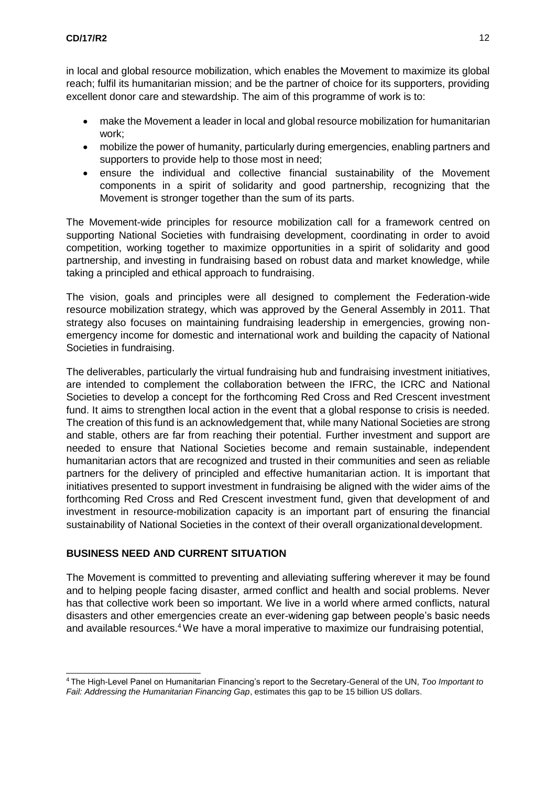in local and global resource mobilization, which enables the Movement to maximize its global reach; fulfil its humanitarian mission; and be the partner of choice for its supporters, providing excellent donor care and stewardship. The aim of this programme of work is to:

- make the Movement a leader in local and global resource mobilization for humanitarian work;
- mobilize the power of humanity, particularly during emergencies, enabling partners and supporters to provide help to those most in need;
- ensure the individual and collective financial sustainability of the Movement components in a spirit of solidarity and good partnership, recognizing that the Movement is stronger together than the sum of its parts.

The Movement-wide principles for resource mobilization call for a framework centred on supporting National Societies with fundraising development, coordinating in order to avoid competition, working together to maximize opportunities in a spirit of solidarity and good partnership, and investing in fundraising based on robust data and market knowledge, while taking a principled and ethical approach to fundraising.

The vision, goals and principles were all designed to complement the Federation-wide resource mobilization strategy, which was approved by the General Assembly in 2011. That strategy also focuses on maintaining fundraising leadership in emergencies, growing nonemergency income for domestic and international work and building the capacity of National Societies in fundraising.

The deliverables, particularly the virtual fundraising hub and fundraising investment initiatives, are intended to complement the collaboration between the IFRC, the ICRC and National Societies to develop a concept for the forthcoming Red Cross and Red Crescent investment fund. It aims to strengthen local action in the event that a global response to crisis is needed. The creation of this fund is an acknowledgement that, while many National Societies are strong and stable, others are far from reaching their potential. Further investment and support are needed to ensure that National Societies become and remain sustainable, independent humanitarian actors that are recognized and trusted in their communities and seen as reliable partners for the delivery of principled and effective humanitarian action. It is important that initiatives presented to support investment in fundraising be aligned with the wider aims of the forthcoming Red Cross and Red Crescent investment fund, given that development of and investment in resource-mobilization capacity is an important part of ensuring the financial sustainability of National Societies in the context of their overall organizationaldevelopment.

#### <span id="page-12-0"></span>**BUSINESS NEED AND CURRENT SITUATION**

The Movement is committed to preventing and alleviating suffering wherever it may be found and to helping people facing disaster, armed conflict and health and social problems. Never has that collective work been so important. We live in a world where armed conflicts, natural disasters and other emergencies create an ever-widening gap between people's basic needs and available resources.<sup>4</sup> We have a moral imperative to maximize our fundraising potential,

<span id="page-12-1"></span><sup>4</sup>The High-Level Panel on Humanitarian Financing's report to the Secretary-General of the UN, *Too Important to Fail: Addressing the Humanitarian Financing Gap*, estimates this gap to be 15 billion US dollars.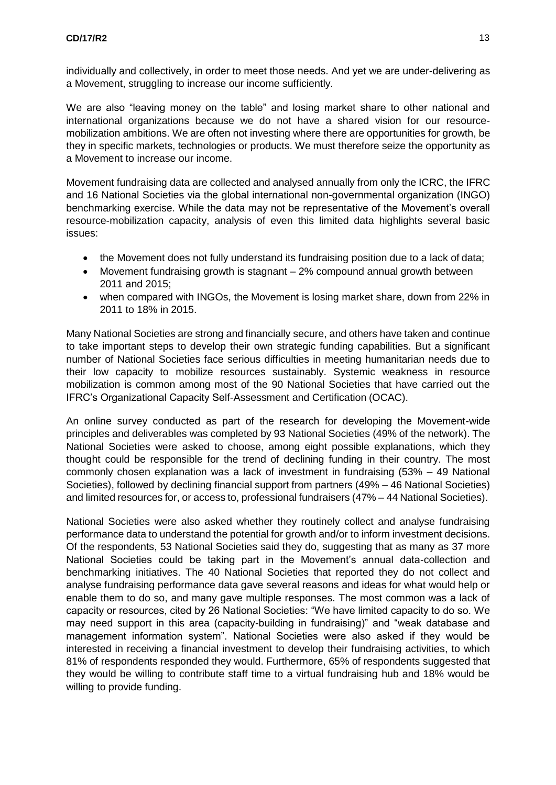individually and collectively, in order to meet those needs. And yet we are under-delivering as a Movement, struggling to increase our income sufficiently.

We are also "leaving money on the table" and losing market share to other national and international organizations because we do not have a shared vision for our resourcemobilization ambitions. We are often not investing where there are opportunities for growth, be they in specific markets, technologies or products. We must therefore seize the opportunity as a Movement to increase our income.

Movement fundraising data are collected and analysed annually from only the ICRC, the IFRC and 16 National Societies via the global international non-governmental organization (INGO) benchmarking exercise. While the data may not be representative of the Movement's overall resource-mobilization capacity, analysis of even this limited data highlights several basic issues:

- the Movement does not fully understand its fundraising position due to a lack of data;
- Movement fundraising growth is stagnant 2% compound annual growth between 2011 and 2015;
- when compared with INGOs, the Movement is losing market share, down from 22% in 2011 to 18% in 2015.

Many National Societies are strong and financially secure, and others have taken and continue to take important steps to develop their own strategic funding capabilities. But a significant number of National Societies face serious difficulties in meeting humanitarian needs due to their low capacity to mobilize resources sustainably. Systemic weakness in resource mobilization is common among most of the 90 National Societies that have carried out the IFRC's Organizational Capacity Self-Assessment and Certification (OCAC).

An online survey conducted as part of the research for developing the Movement-wide principles and deliverables was completed by 93 National Societies (49% of the network). The National Societies were asked to choose, among eight possible explanations, which they thought could be responsible for the trend of declining funding in their country. The most commonly chosen explanation was a lack of investment in fundraising (53% – 49 National Societies), followed by declining financial support from partners (49% – 46 National Societies) and limited resources for, or access to, professional fundraisers (47% – 44 National Societies).

National Societies were also asked whether they routinely collect and analyse fundraising performance data to understand the potential for growth and/or to inform investment decisions. Of the respondents, 53 National Societies said they do, suggesting that as many as 37 more National Societies could be taking part in the Movement's annual data-collection and benchmarking initiatives. The 40 National Societies that reported they do not collect and analyse fundraising performance data gave several reasons and ideas for what would help or enable them to do so, and many gave multiple responses. The most common was a lack of capacity or resources, cited by 26 National Societies: "We have limited capacity to do so. We may need support in this area (capacity-building in fundraising)" and "weak database and management information system". National Societies were also asked if they would be interested in receiving a financial investment to develop their fundraising activities, to which 81% of respondents responded they would. Furthermore, 65% of respondents suggested that they would be willing to contribute staff time to a virtual fundraising hub and 18% would be willing to provide funding.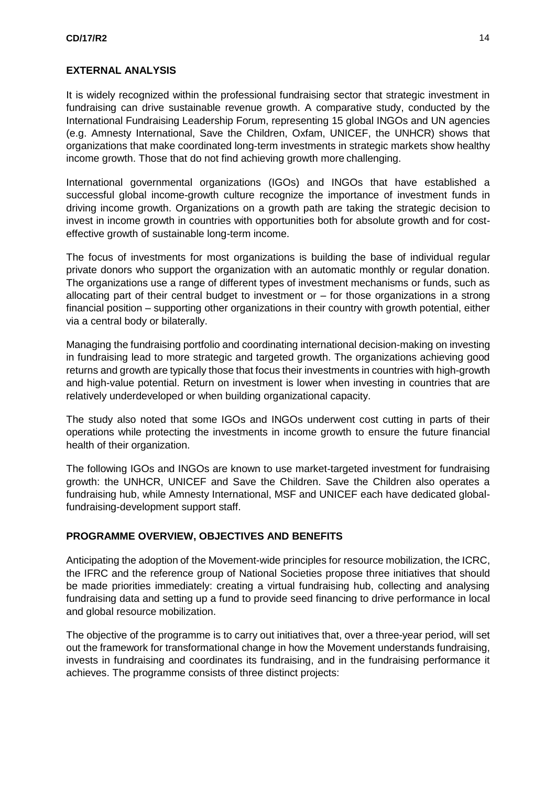#### <span id="page-14-0"></span>**EXTERNAL ANALYSIS**

It is widely recognized within the professional fundraising sector that strategic investment in fundraising can drive sustainable revenue growth. A comparative study, conducted by the International Fundraising Leadership Forum, representing 15 global INGOs and UN agencies (e.g. Amnesty International, Save the Children, Oxfam, UNICEF, the UNHCR) shows that organizations that make coordinated long-term investments in strategic markets show healthy income growth. Those that do not find achieving growth more challenging.

International governmental organizations (IGOs) and INGOs that have established a successful global income-growth culture recognize the importance of investment funds in driving income growth. Organizations on a growth path are taking the strategic decision to invest in income growth in countries with opportunities both for absolute growth and for costeffective growth of sustainable long-term income.

The focus of investments for most organizations is building the base of individual regular private donors who support the organization with an automatic monthly or regular donation. The organizations use a range of different types of investment mechanisms or funds, such as allocating part of their central budget to investment or – for those organizations in a strong financial position – supporting other organizations in their country with growth potential, either via a central body or bilaterally.

Managing the fundraising portfolio and coordinating international decision-making on investing in fundraising lead to more strategic and targeted growth. The organizations achieving good returns and growth are typically those that focus their investments in countries with high-growth and high-value potential. Return on investment is lower when investing in countries that are relatively underdeveloped or when building organizational capacity.

The study also noted that some IGOs and INGOs underwent cost cutting in parts of their operations while protecting the investments in income growth to ensure the future financial health of their organization.

The following IGOs and INGOs are known to use market-targeted investment for fundraising growth: the UNHCR, UNICEF and Save the Children. Save the Children also operates a fundraising hub, while Amnesty International, MSF and UNICEF each have dedicated globalfundraising-development support staff.

#### <span id="page-14-1"></span>**PROGRAMME OVERVIEW, OBJECTIVES AND BENEFITS**

Anticipating the adoption of the Movement-wide principles for resource mobilization, the ICRC, the IFRC and the reference group of National Societies propose three initiatives that should be made priorities immediately: creating a virtual fundraising hub, collecting and analysing fundraising data and setting up a fund to provide seed financing to drive performance in local and global resource mobilization.

The objective of the programme is to carry out initiatives that, over a three-year period, will set out the framework for transformational change in how the Movement understands fundraising, invests in fundraising and coordinates its fundraising, and in the fundraising performance it achieves. The programme consists of three distinct projects: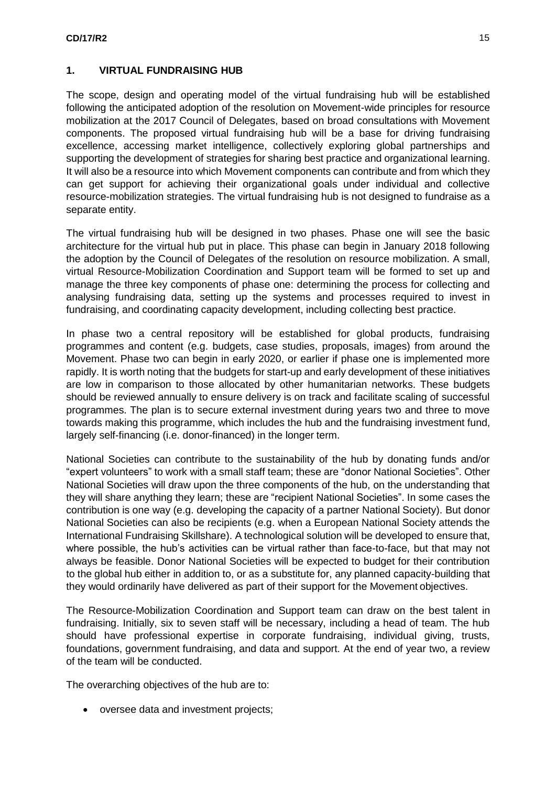#### **1. VIRTUAL FUNDRAISING HUB**

The scope, design and operating model of the virtual fundraising hub will be established following the anticipated adoption of the resolution on Movement-wide principles for resource mobilization at the 2017 Council of Delegates, based on broad consultations with Movement components. The proposed virtual fundraising hub will be a base for driving fundraising excellence, accessing market intelligence, collectively exploring global partnerships and supporting the development of strategies for sharing best practice and organizational learning. It will also be a resource into which Movement components can contribute and from which they can get support for achieving their organizational goals under individual and collective resource-mobilization strategies. The virtual fundraising hub is not designed to fundraise as a separate entity.

The virtual fundraising hub will be designed in two phases. Phase one will see the basic architecture for the virtual hub put in place. This phase can begin in January 2018 following the adoption by the Council of Delegates of the resolution on resource mobilization. A small, virtual Resource-Mobilization Coordination and Support team will be formed to set up and manage the three key components of phase one: determining the process for collecting and analysing fundraising data, setting up the systems and processes required to invest in fundraising, and coordinating capacity development, including collecting best practice.

In phase two a central repository will be established for global products, fundraising programmes and content (e.g. budgets, case studies, proposals, images) from around the Movement. Phase two can begin in early 2020, or earlier if phase one is implemented more rapidly. It is worth noting that the budgets for start-up and early development of these initiatives are low in comparison to those allocated by other humanitarian networks. These budgets should be reviewed annually to ensure delivery is on track and facilitate scaling of successful programmes. The plan is to secure external investment during years two and three to move towards making this programme, which includes the hub and the fundraising investment fund, largely self-financing (i.e. donor-financed) in the longer term.

National Societies can contribute to the sustainability of the hub by donating funds and/or "expert volunteers" to work with a small staff team; these are "donor National Societies". Other National Societies will draw upon the three components of the hub, on the understanding that they will share anything they learn; these are "recipient National Societies". In some cases the contribution is one way (e.g. developing the capacity of a partner National Society). But donor National Societies can also be recipients (e.g. when a European National Society attends the International Fundraising Skillshare). A technological solution will be developed to ensure that, where possible, the hub's activities can be virtual rather than face-to-face, but that may not always be feasible. Donor National Societies will be expected to budget for their contribution to the global hub either in addition to, or as a substitute for, any planned capacity-building that they would ordinarily have delivered as part of their support for the Movement objectives.

The Resource-Mobilization Coordination and Support team can draw on the best talent in fundraising. Initially, six to seven staff will be necessary, including a head of team. The hub should have professional expertise in corporate fundraising, individual giving, trusts, foundations, government fundraising, and data and support. At the end of year two, a review of the team will be conducted.

The overarching objectives of the hub are to:

oversee data and investment projects;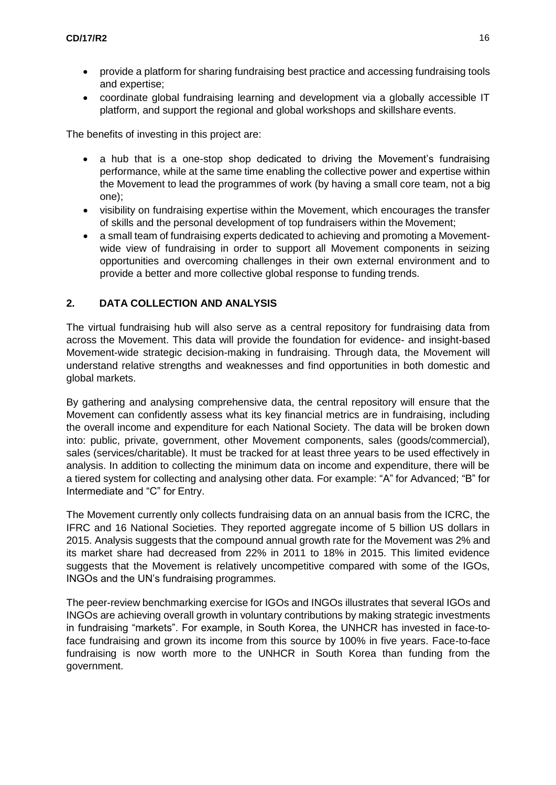- provide a platform for sharing fundraising best practice and accessing fundraising tools and expertise;
- coordinate global fundraising learning and development via a globally accessible IT platform, and support the regional and global workshops and skillshare events.

The benefits of investing in this project are:

- a hub that is a one-stop shop dedicated to driving the Movement's fundraising performance, while at the same time enabling the collective power and expertise within the Movement to lead the programmes of work (by having a small core team, not a big one);
- visibility on fundraising expertise within the Movement, which encourages the transfer of skills and the personal development of top fundraisers within the Movement;
- a small team of fundraising experts dedicated to achieving and promoting a Movementwide view of fundraising in order to support all Movement components in seizing opportunities and overcoming challenges in their own external environment and to provide a better and more collective global response to funding trends.

#### **2. DATA COLLECTION AND ANALYSIS**

The virtual fundraising hub will also serve as a central repository for fundraising data from across the Movement. This data will provide the foundation for evidence- and insight-based Movement-wide strategic decision-making in fundraising. Through data, the Movement will understand relative strengths and weaknesses and find opportunities in both domestic and global markets.

By gathering and analysing comprehensive data, the central repository will ensure that the Movement can confidently assess what its key financial metrics are in fundraising, including the overall income and expenditure for each National Society. The data will be broken down into: public, private, government, other Movement components, sales (goods/commercial), sales (services/charitable). It must be tracked for at least three years to be used effectively in analysis. In addition to collecting the minimum data on income and expenditure, there will be a tiered system for collecting and analysing other data. For example: "A" for Advanced; "B" for Intermediate and "C" for Entry.

The Movement currently only collects fundraising data on an annual basis from the ICRC, the IFRC and 16 National Societies. They reported aggregate income of 5 billion US dollars in 2015. Analysis suggests that the compound annual growth rate for the Movement was 2% and its market share had decreased from 22% in 2011 to 18% in 2015. This limited evidence suggests that the Movement is relatively uncompetitive compared with some of the IGOs, INGOs and the UN's fundraising programmes.

The peer-review benchmarking exercise for IGOs and INGOs illustrates that several IGOs and INGOs are achieving overall growth in voluntary contributions by making strategic investments in fundraising "markets". For example, in South Korea, the UNHCR has invested in face-toface fundraising and grown its income from this source by 100% in five years. Face-to-face fundraising is now worth more to the UNHCR in South Korea than funding from the government.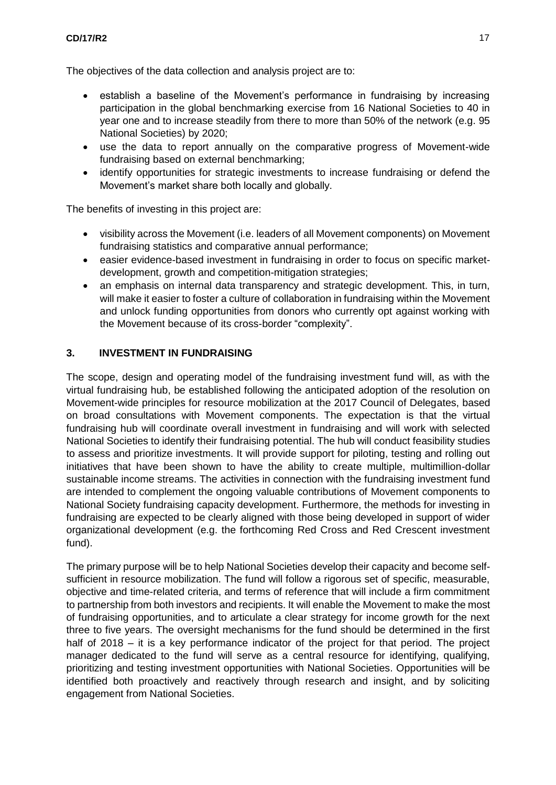#### **CD/17/R2** 17

The objectives of the data collection and analysis project are to:

- establish a baseline of the Movement's performance in fundraising by increasing participation in the global benchmarking exercise from 16 National Societies to 40 in year one and to increase steadily from there to more than 50% of the network (e.g. 95 National Societies) by 2020;
- use the data to report annually on the comparative progress of Movement-wide fundraising based on external benchmarking;
- identify opportunities for strategic investments to increase fundraising or defend the Movement's market share both locally and globally.

The benefits of investing in this project are:

- visibility across the Movement (i.e. leaders of all Movement components) on Movement fundraising statistics and comparative annual performance;
- easier evidence-based investment in fundraising in order to focus on specific marketdevelopment, growth and competition-mitigation strategies;
- an emphasis on internal data transparency and strategic development. This, in turn, will make it easier to foster a culture of collaboration in fundraising within the Movement and unlock funding opportunities from donors who currently opt against working with the Movement because of its cross-border "complexity".

#### **3. INVESTMENT IN FUNDRAISING**

The scope, design and operating model of the fundraising investment fund will, as with the virtual fundraising hub, be established following the anticipated adoption of the resolution on Movement-wide principles for resource mobilization at the 2017 Council of Delegates, based on broad consultations with Movement components. The expectation is that the virtual fundraising hub will coordinate overall investment in fundraising and will work with selected National Societies to identify their fundraising potential. The hub will conduct feasibility studies to assess and prioritize investments. It will provide support for piloting, testing and rolling out initiatives that have been shown to have the ability to create multiple, multimillion-dollar sustainable income streams. The activities in connection with the fundraising investment fund are intended to complement the ongoing valuable contributions of Movement components to National Society fundraising capacity development. Furthermore, the methods for investing in fundraising are expected to be clearly aligned with those being developed in support of wider organizational development (e.g. the forthcoming Red Cross and Red Crescent investment fund).

The primary purpose will be to help National Societies develop their capacity and become selfsufficient in resource mobilization. The fund will follow a rigorous set of specific, measurable, objective and time-related criteria, and terms of reference that will include a firm commitment to partnership from both investors and recipients. It will enable the Movement to make the most of fundraising opportunities, and to articulate a clear strategy for income growth for the next three to five years. The oversight mechanisms for the fund should be determined in the first half of 2018 – it is a key performance indicator of the project for that period. The project manager dedicated to the fund will serve as a central resource for identifying, qualifying, prioritizing and testing investment opportunities with National Societies. Opportunities will be identified both proactively and reactively through research and insight, and by soliciting engagement from National Societies.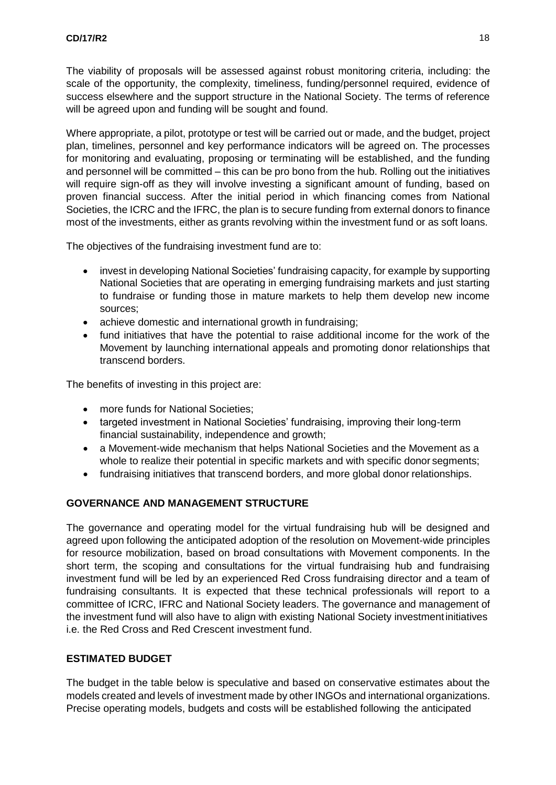The viability of proposals will be assessed against robust monitoring criteria, including: the scale of the opportunity, the complexity, timeliness, funding/personnel required, evidence of success elsewhere and the support structure in the National Society. The terms of reference will be agreed upon and funding will be sought and found.

Where appropriate, a pilot, prototype or test will be carried out or made, and the budget, project plan, timelines, personnel and key performance indicators will be agreed on. The processes for monitoring and evaluating, proposing or terminating will be established, and the funding and personnel will be committed – this can be pro bono from the hub. Rolling out the initiatives will require sign-off as they will involve investing a significant amount of funding, based on proven financial success. After the initial period in which financing comes from National Societies, the ICRC and the IFRC, the plan is to secure funding from external donors to finance most of the investments, either as grants revolving within the investment fund or as soft loans.

The objectives of the fundraising investment fund are to:

- invest in developing National Societies' fundraising capacity, for example by supporting National Societies that are operating in emerging fundraising markets and just starting to fundraise or funding those in mature markets to help them develop new income sources;
- achieve domestic and international growth in fundraising;
- fund initiatives that have the potential to raise additional income for the work of the Movement by launching international appeals and promoting donor relationships that transcend borders.

The benefits of investing in this project are:

- more funds for National Societies;
- targeted investment in National Societies' fundraising, improving their long-term financial sustainability, independence and growth;
- a Movement-wide mechanism that helps National Societies and the Movement as a whole to realize their potential in specific markets and with specific donor segments;
- fundraising initiatives that transcend borders, and more global donor relationships.

### <span id="page-18-0"></span>**GOVERNANCE AND MANAGEMENT STRUCTURE**

The governance and operating model for the virtual fundraising hub will be designed and agreed upon following the anticipated adoption of the resolution on Movement-wide principles for resource mobilization, based on broad consultations with Movement components. In the short term, the scoping and consultations for the virtual fundraising hub and fundraising investment fund will be led by an experienced Red Cross fundraising director and a team of fundraising consultants. It is expected that these technical professionals will report to a committee of ICRC, IFRC and National Society leaders. The governance and management of the investment fund will also have to align with existing National Society investmentinitiatives i.e. the Red Cross and Red Crescent investment fund.

#### <span id="page-18-1"></span>**ESTIMATED BUDGET**

The budget in the table below is speculative and based on conservative estimates about the models created and levels of investment made by other INGOs and international organizations. Precise operating models, budgets and costs will be established following the anticipated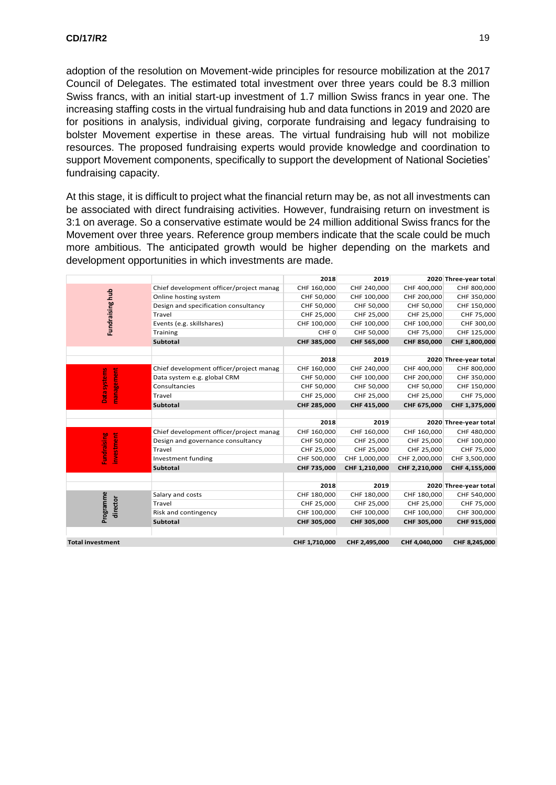adoption of the resolution on Movement-wide principles for resource mobilization at the 2017 Council of Delegates. The estimated total investment over three years could be 8.3 million Swiss francs, with an initial start-up investment of 1.7 million Swiss francs in year one. The increasing staffing costs in the virtual fundraising hub and data functions in 2019 and 2020 are for positions in analysis, individual giving, corporate fundraising and legacy fundraising to bolster Movement expertise in these areas. The virtual fundraising hub will not mobilize resources. The proposed fundraising experts would provide knowledge and coordination to support Movement components, specifically to support the development of National Societies' fundraising capacity.

At this stage, it is difficult to project what the financial return may be, as not all investments can be associated with direct fundraising activities. However, fundraising return on investment is 3:1 on average. So a conservative estimate would be 24 million additional Swiss francs for the Movement over three years. Reference group members indicate that the scale could be much more ambitious. The anticipated growth would be higher depending on the markets and development opportunities in which investments are made.

|                                  |                                         | 2018             | 2019          |               | 2020 Three-year total |
|----------------------------------|-----------------------------------------|------------------|---------------|---------------|-----------------------|
| Fundraising hub                  | Chief development officer/project manag | CHF 160,000      | CHF 240,000   | CHF 400,000   | CHF 800,000           |
|                                  | Online hosting system                   | CHF 50,000       | CHF 100,000   | CHF 200,000   | CHF 350,000           |
|                                  | Design and specification consultancy    | CHF 50,000       | CHF 50,000    | CHF 50,000    | CHF 150,000           |
|                                  | Travel                                  | CHF 25,000       | CHF 25,000    | CHF 25,000    | CHF 75,000            |
|                                  | Events (e.g. skillshares)               | CHF 100,000      | CHF 100,000   | CHF 100,000   | CHF 300,00            |
|                                  | Training                                | CHF <sub>0</sub> | CHF 50,000    | CHF 75,000    | CHF 125,000           |
|                                  | <b>Subtotal</b>                         | CHF 385,000      | CHF 565,000   | CHF 850,000   | CHF 1,800,000         |
|                                  |                                         |                  |               |               |                       |
|                                  |                                         | 2018             | 2019          |               | 2020 Three-year total |
| Data systems<br>management       | Chief development officer/project manag | CHF 160,000      | CHF 240,000   | CHF 400,000   | CHF 800,000           |
|                                  | Data system e.g. global CRM             | CHF 50,000       | CHF 100,000   | CHF 200,000   | CHF 350,000           |
|                                  | Consultancies                           | CHF 50,000       | CHF 50,000    | CHF 50,000    | CHF 150,000           |
|                                  | Travel                                  | CHF 25,000       | CHF 25,000    | CHF 25,000    | CHF 75,000            |
|                                  | <b>Subtotal</b>                         | CHF 285,000      | CHF 415,000   | CHF 675,000   | CHF 1,375,000         |
|                                  |                                         |                  |               |               |                       |
|                                  |                                         | 2018             | 2019          |               | 2020 Three-year total |
| <b>Fundraising</b><br>investment | Chief development officer/project manag | CHF 160,000      | CHF 160,000   | CHF 160,000   | CHF 480,000           |
|                                  | Design and governance consultancy       | CHF 50,000       | CHF 25,000    | CHF 25,000    | CHF 100,000           |
|                                  | Travel                                  | CHF 25,000       | CHF 25,000    | CHF 25,000    | CHF 75,000            |
|                                  | Investment funding                      | CHF 500,000      | CHF 1,000,000 | CHF 2,000,000 | CHF 3,500,000         |
|                                  | <b>Subtotal</b>                         | CHF 735,000      | CHF 1,210,000 | CHF 2,210,000 | CHF 4,155,000         |
|                                  |                                         |                  |               |               |                       |
|                                  |                                         | 2018             | 2019          |               | 2020 Three-year total |
| Programme<br>director            | Salary and costs                        | CHF 180,000      | CHF 180,000   | CHF 180,000   | CHF 540,000           |
|                                  | Travel                                  | CHF 25,000       | CHF 25,000    | CHF 25,000    | CHF 75,000            |
|                                  | Risk and contingency                    | CHF 100,000      | CHF 100,000   | CHF 100,000   | CHF 300,000           |
|                                  | <b>Subtotal</b>                         | CHF 305,000      | CHF 305,000   | CHF 305,000   | CHF 915,000           |
|                                  |                                         |                  |               |               |                       |
| <b>Total investment</b>          |                                         | CHF 1,710,000    | CHF 2,495,000 | CHf 4,040,000 | CHF 8,245,000         |